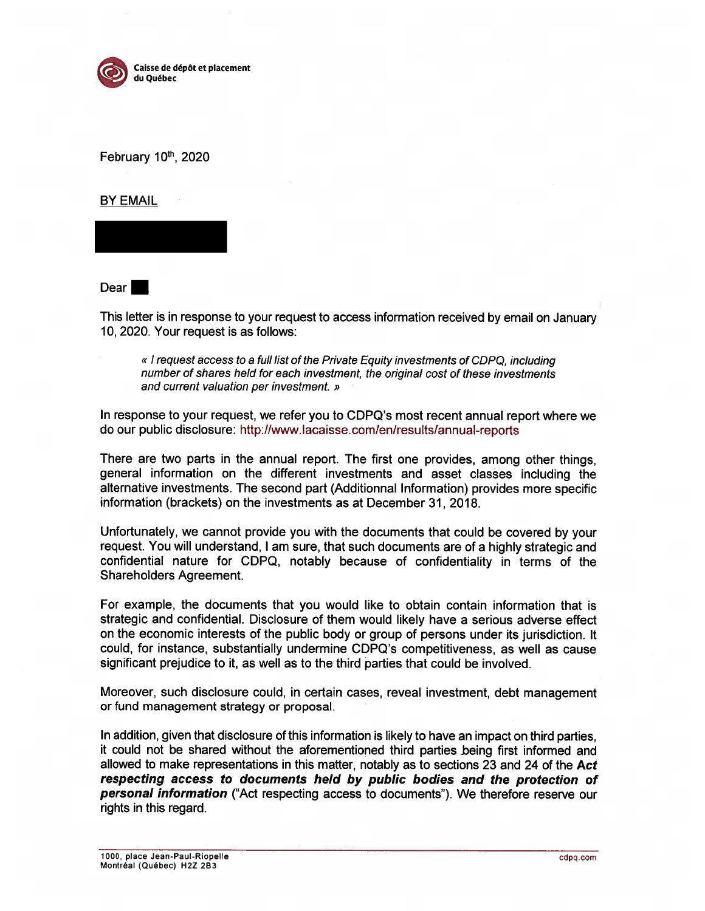

February 10th, 2020

BY EMAIL

Dear **b** 

This letter is in response to your reques<sup>t</sup> to access information received by email on January 10, 2020. Your reques<sup>t</sup> is as follows:

« I request access to a full list of the Private Equity investments of CDPQ, including number of shares held for each investment, the original cost of these investments and current valuation per investment. »

In response to your request, we refer you to CDPQ's most recent annual repor<sup>t</sup> where we do our public disclosure: http://www.lacaisse.com/en/results/annual-reports

There are two parts in the annual report. The first one provides, among other things, general information on the different investments and asset classes including the alternative investments. The second par<sup>t</sup> (AdditionnaI Information) provides more specific information (brackets) on the investments as at December 31, 2018.

Unfortunately, we cannot provide you with the documents that could be covered by your request. You will understand, <sup>I</sup> am sure, that such documents are of <sup>a</sup> highly strategic and confidential nature for CDPQ, notably because of confidentiality in terms of the Shareholders Agreement.

For example, the documents that you would like to obtain contain information that is strategic and confidential. Disclosure of them would likely have <sup>a</sup> serious adverse effect on the economic interests of the public body or group of persons under its jurisdiction. It could, for instance, substantially undermine CDPQ's competitiveness, as well as cause significant prejudice to it, as well as to the third parties that could be involved,

Moreover, such disclosure could, in certain cases, reveal investment, debt managemen<sup>t</sup> or fund managemen<sup>t</sup> strategy or proposaI.

In addition, given that disclosure of this information is likely to have an impact on third parties, it could not be shared without the aforementioned third parties being first informed and allowed to make representations in this matter, notably as to sections 23 and 24 of the Act respecting access to documents held by public bodies and the protection of **personal information** ("Act respecting access to documents"). We therefore reserve our rights in this regard.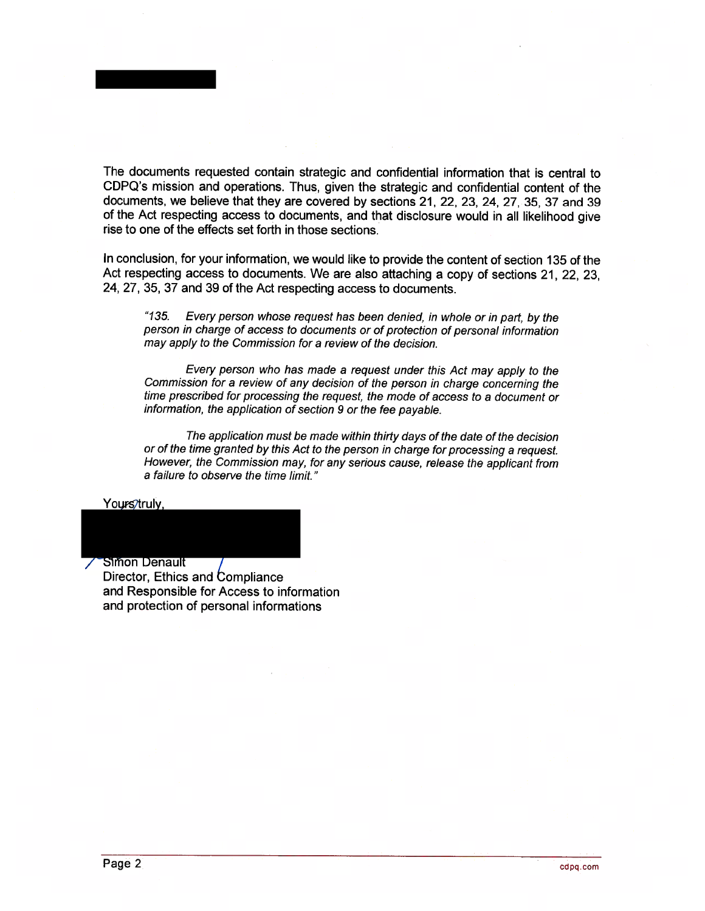The documents requested contain strategic and confidential information that is central to CDPQ's mission and operations. Thus, <sup>g</sup>iven the strategic and confidentiai content of the documents, we believe that they are covered by sections 21, 22, 23, 24, 27, 35, <sup>37</sup> and 39 of the Act respecting access to documents, and that disclosure would in ail Iikelihood <sup>g</sup>ive rise to one of the effects set forth in those sections.

In conclusion, for your information, we would like to provide the content of section 135 of the Act respecting access to documents. We are also attaching <sup>a</sup> copy of sections 21, 22, 23, 24, 27, 35, <sup>37</sup> and 39 of the Act respecting access to documents.

"135. Every person whose request has been denied, in whole or in part, by the person in charge of access to documents or of protection of personal information may apply to the Commission for <sup>a</sup> review of the decision.

Every person who has made <sup>a</sup> request under this Act may apply to the Commission for <sup>a</sup> review of any decision of the person in charge concerning the time prescribed for processing the request, the mode of access to <sup>a</sup> document or information, the application of section <sup>9</sup> or the fee payable.

The application must be made within thirty days of the date of the decision or of the time granted by this Act to the person in charge for processing a request. However, the Commission may, for any serious cause, release the applicant from <sup>a</sup> failure to observe the time limit."

Yours/truly.

**Simon Denault** Director, Ethics and Compliance and Responsibie for Access to information and protection 0f personal informations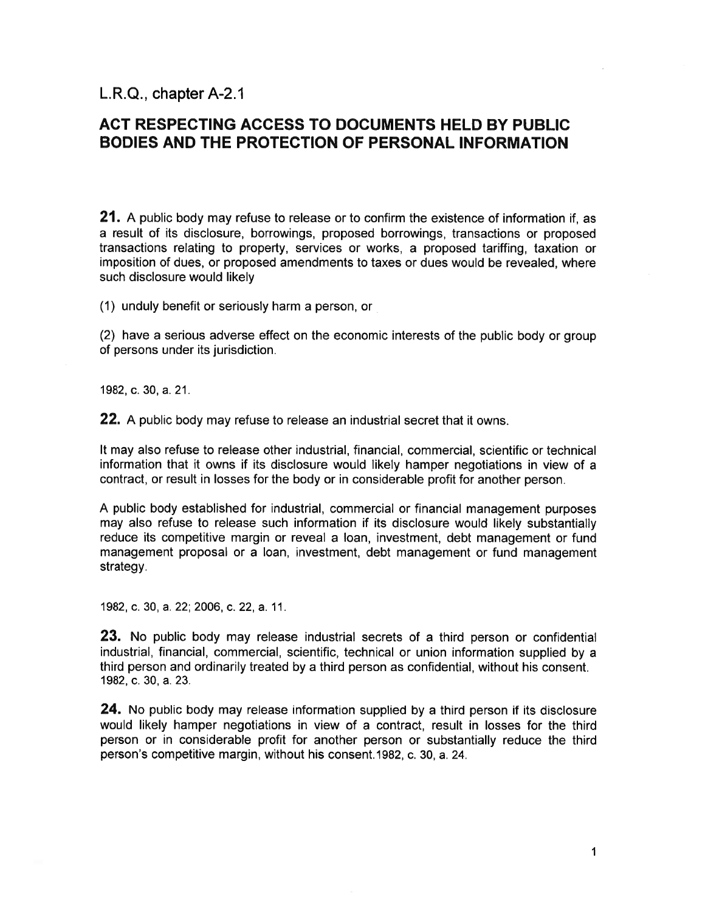$L.R.Q.,$  chapter A-2.1

## ACT RESPECTING ACCESS TO DOCUMENTS HELD BY PUBLIC BODIES AND THE PROTECTION 0F PERSONAL INFORMATION

**21.** A public body may refuse to release or to confirm the existence of information if, as <sup>a</sup> resuit of its disclosure, borrowings, proposed borrowings, transactions or proposed transactions relating to property, services or works, <sup>a</sup> proposed tariffing, taxation or imposition of dues, or proposed amendments to taxes or dues would be revealed, where such disclosure would likely

(1) unduly benefit or seriously harm <sup>a</sup> person, or

(2) have <sup>a</sup> serious adverse effect on the economic interests of the public body or group of persons under its jurisdiction.

1982, c. 30, a. 21.

**22.** A public body may refuse to release an industrial secret that it owns.

It may also refuse to release other industrial, financial, commercial, scientific or technical information that it owns if its disciosure would likely hamper negotiations in view of <sup>a</sup> contract, or result in losses for the body or in considerable profit for another person.

A public body established for industrial, commercial or financial managemen<sup>t</sup> purposes may also refuse to release such information if its disclosure would likely substantially reduce its competitive margin or reveal <sup>a</sup> ban, investment, debt managemen<sup>t</sup> or fund managemen<sup>t</sup> proposai or <sup>a</sup> ban, investment, debt managemen<sup>t</sup> or fund managemen<sup>t</sup> strategy.

1982, c. 30, a. 22; 2006, c. 22, a. 11.

23. No public body may release industrial secrets of <sup>a</sup> third person or confidential industrial, financial, commercial, scientific, technical or union information supplied by <sup>a</sup> third person and ordinarily treated by <sup>a</sup> third person as confidential, without his consent. 1982, c. 30, a. 23.

**24.** No public body may release information supplied by a third person if its disclosure would likely hamper negotiations in view of <sup>a</sup> contract, result in losses for the third person or in considerable profit for another person or substantially reduce the third person's competitive margin, without his consent.1982, c. 30, a. 24.